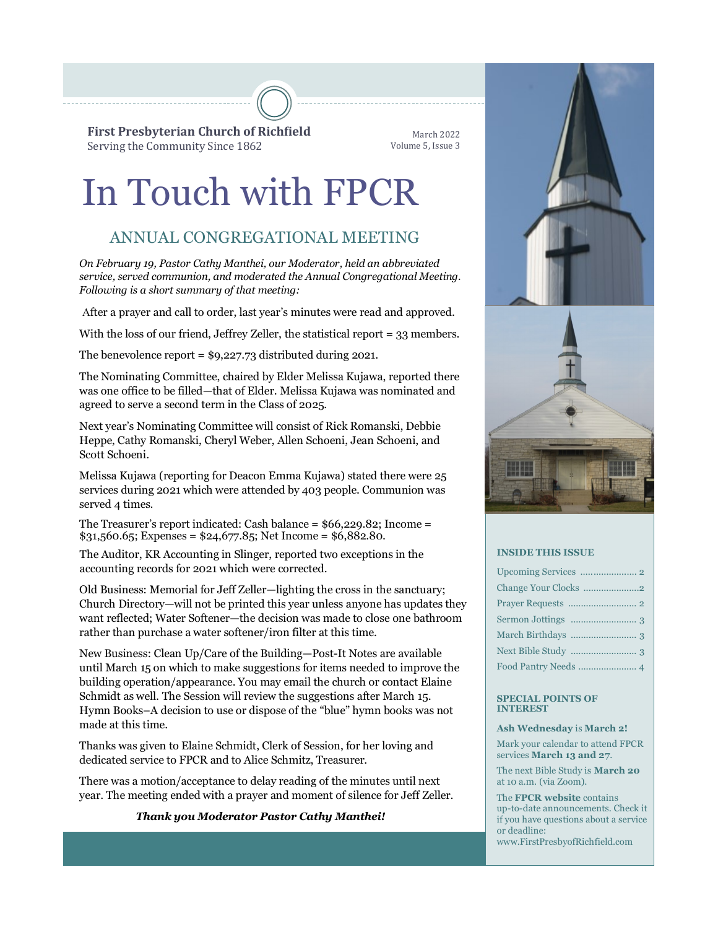**First Presbyterian Church of Richfield** Serving the Community Since 1862

March 2022 Volume 5, Issue 3

# In Touch with FPCR

# ANNUAL CONGREGATIONAL MEETING

*On February 19, Pastor Cathy Manthei, our Moderator, held an abbreviated service, served communion, and moderated the Annual Congregational Meeting. Following is a short summary of that meeting:*

After a prayer and call to order, last year's minutes were read and approved.

With the loss of our friend, Jeffrey Zeller, the statistical report = 33 members.

The benevolence report =  $$9,227.73$  distributed during 2021.

The Nominating Committee, chaired by Elder Melissa Kujawa, reported there was one office to be filled—that of Elder. Melissa Kujawa was nominated and agreed to serve a second term in the Class of 2025.

Next year's Nominating Committee will consist of Rick Romanski, Debbie Heppe, Cathy Romanski, Cheryl Weber, Allen Schoeni, Jean Schoeni, and Scott Schoeni.

Melissa Kujawa (reporting for Deacon Emma Kujawa) stated there were 25 services during 2021 which were attended by 403 people. Communion was served 4 times.

The Treasurer's report indicated: Cash balance = \$66,229.82; Income =  $$31,560.65$ ; Expenses =  $$24,677.85$ ; Net Income =  $$6,882.80$ .

The Auditor, KR Accounting in Slinger, reported two exceptions in the accounting records for 2021 which were corrected.

Old Business: Memorial for Jeff Zeller—lighting the cross in the sanctuary; Church Directory—will not be printed this year unless anyone has updates they want reflected; Water Softener—the decision was made to close one bathroom rather than purchase a water softener/iron filter at this time.

New Business: Clean Up/Care of the Building—Post-It Notes are available until March 15 on which to make suggestions for items needed to improve the building operation/appearance. You may email the church or contact Elaine Schmidt as well. The Session will review the suggestions after March 15. Hymn Books–A decision to use or dispose of the "blue" hymn books was not made at this time.

Thanks was given to Elaine Schmidt, Clerk of Session, for her loving and dedicated service to FPCR and to Alice Schmitz, Treasurer.

There was a motion/acceptance to delay reading of the minutes until next year. The meeting ended with a prayer and moment of silence for Jeff Zeller.

#### *Thank you Moderator Pastor Cathy Manthei!*





#### **INSIDE THIS ISSUE**

| Food Pantry Needs  4 |
|----------------------|

#### **SPECIAL POINTS OF INTEREST**

**Ash Wednesday** is **March 2!**

Mark your calendar to attend FPCR services **March 13 and 27**.

The next Bible Study is **March 20** at 10 a.m. (via Zoom).

The **FPCR website** contains up-to-date announcements. Check it if you have questions about a service or deadline: www.FirstPresbyofRichfield.com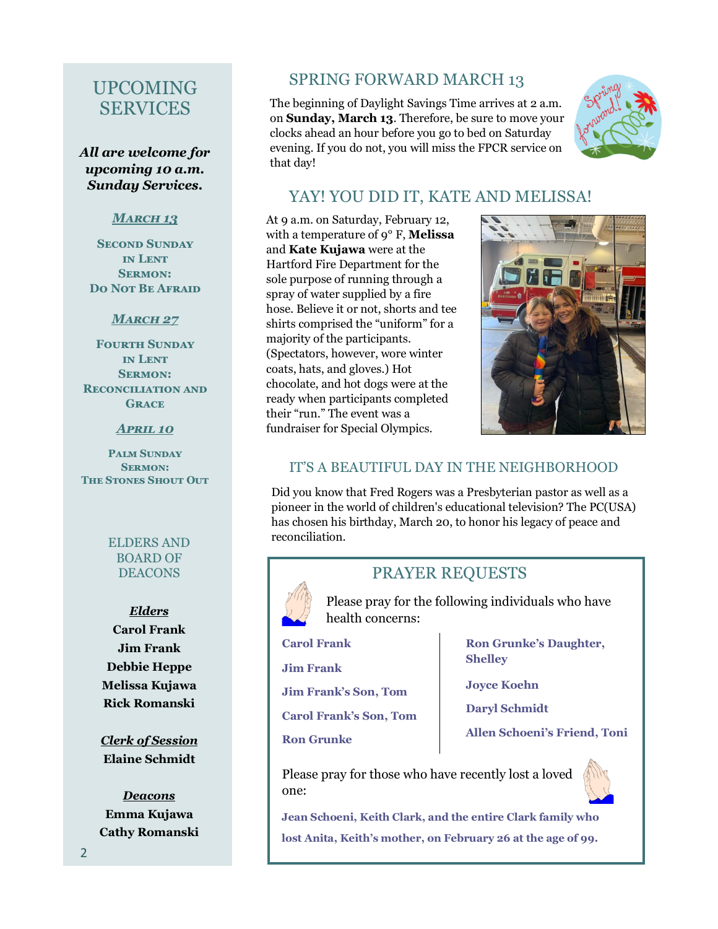# UPCOMING **SERVICES**

*All are welcome for upcoming 10 a.m. Sunday Services.*

## *March 13*

**Second Sunday in Lent Sermon: Do Not Be Afraid**

## *March 27*

**Fourth Sunday in Lent Sermon: Reconciliation and Grace**

#### *April 10*

**Palm Sunday Sermon: The Stones Shout Out**

> ELDERS AND BOARD OF DEACONS

*Elders* **Carol Frank Jim Frank Debbie Heppe Melissa Kujawa Rick Romanski**

*Clerk of Session* **Elaine Schmidt**

*Deacons* **Emma Kujawa Cathy Romanski**

# SPRING FORWARD MARCH 13

The beginning of Daylight Savings Time arrives at 2 a.m. on **Sunday, March 13**. Therefore, be sure to move your clocks ahead an hour before you go to bed on Saturday evening. If you do not, you will miss the FPCR service on that day!



## YAY! YOU DID IT, KATE AND MELISSA!

At 9 a.m. on Saturday, February 12, with a temperature of 9° F, **Melissa**  and **Kate Kujawa** were at the Hartford Fire Department for the sole purpose of running through a spray of water supplied by a fire hose. Believe it or not, shorts and tee shirts comprised the "uniform" for a majority of the participants. (Spectators, however, wore winter coats, hats, and gloves.) Hot chocolate, and hot dogs were at the ready when participants completed their "run." The event was a fundraiser for Special Olympics.



## IT'S A BEAUTIFUL DAY IN THE NEIGHBORHOOD

Did you know that Fred Rogers was a Presbyterian pastor as well as a pioneer in the world of children's educational television? The PC(USA) has chosen his birthday, March 20, to honor his legacy of peace and reconciliation.



## PRAYER REQUESTS

Please pray for the following individuals who have health concerns:

**Carol Frank**

**Jim Frank**

**Jim Frank's Son, Tom**

**Carol Frank's Son, Tom**

#### **Ron Grunke**

**Ron Grunke's Daughter, Shelley**

**Joyce Koehn**

**Daryl Schmidt**

**Allen Schoeni's Friend, Toni** 

Please pray for those who have recently lost a loved one:

**Jean Schoeni, Keith Clark, and the entire Clark family who lost Anita, Keith's mother, on February 26 at the age of 99.**

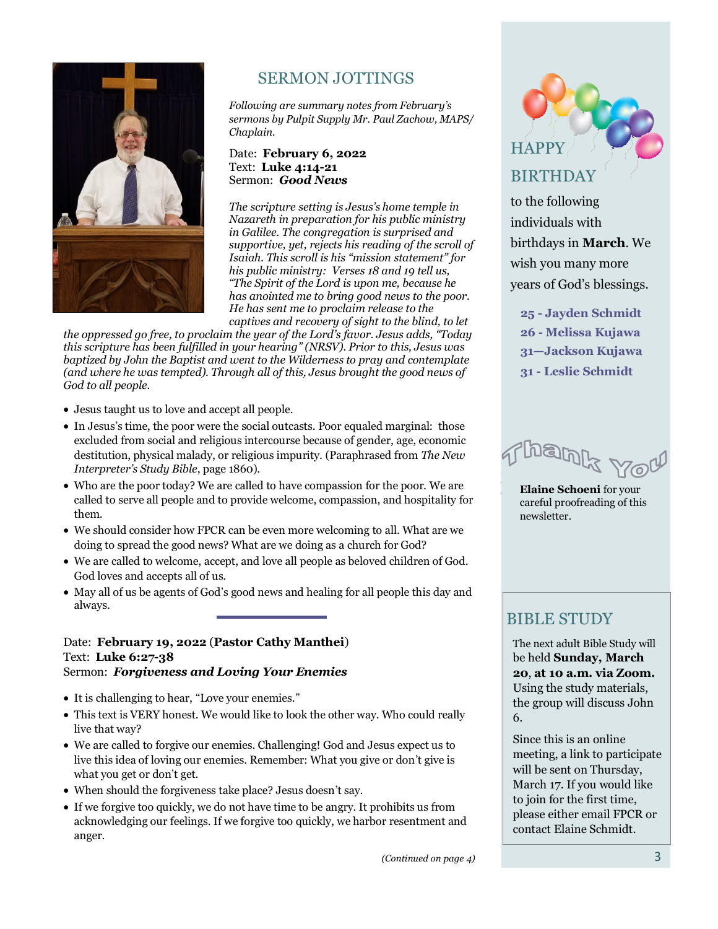

# SERMON JOTTINGS

*Following are summary notes from February's sermons by Pulpit Supply Mr. Paul Zachow, MAPS/ Chaplain.* 

#### Date: **February 6, 2022** Text: **Luke 4:14-21** Sermon: *Good News*

*The scripture setting is Jesus's home temple in Nazareth in preparation for his public ministry in Galilee. The congregation is surprised and supportive, yet, rejects his reading of the scroll of Isaiah. This scroll is his "mission statement" for his public ministry: Verses 18 and 19 tell us, "The Spirit of the Lord is upon me, because he has anointed me to bring good news to the poor. He has sent me to proclaim release to the* 

*captives and recovery of sight to the blind, to let the oppressed go free, to proclaim the year of the Lord's favor. Jesus adds, "Today this scripture has been fulfilled in your hearing" (NRSV). Prior to this, Jesus was baptized by John the Baptist and went to the Wilderness to pray and contemplate (and where he was tempted). Through all of this, Jesus brought the good news of God to all people.*

- Jesus taught us to love and accept all people.
- In Jesus's time, the poor were the social outcasts. Poor equaled marginal: those excluded from social and religious intercourse because of gender, age, economic destitution, physical malady, or religious impurity. (Paraphrased from *The New Interpreter's Study Bible*, page 1860).
- Who are the poor today? We are called to have compassion for the poor. We are called to serve all people and to provide welcome, compassion, and hospitality for them.
- We should consider how FPCR can be even more welcoming to all. What are we doing to spread the good news? What are we doing as a church for God?
- We are called to welcome, accept, and love all people as beloved children of God. God loves and accepts all of us.
- May all of us be agents of God's good news and healing for all people this day and always.

#### Date: **February 19, 2022** (**Pastor Cathy Manthei**) Text: **Luke 6:27-38** Sermon: *Forgiveness and Loving Your Enemies*

- It is challenging to hear, "Love your enemies."
- This text is VERY honest. We would like to look the other way. Who could really live that way?
- We are called to forgive our enemies. Challenging! God and Jesus expect us to live this idea of loving our enemies. Remember: What you give or don't give is what you get or don't get.
- When should the forgiveness take place? Jesus doesn't say.
- If we forgive too quickly, we do not have time to be angry. It prohibits us from acknowledging our feelings. If we forgive too quickly, we harbor resentment and anger.



to the following individuals with birthdays in **March**. We wish you many more years of God's blessings.

**- Jayden Schmidt - Melissa Kujawa —Jackson Kujawa - Leslie Schmidt**

ham

**Elaine Schoeni** for your careful proofreading of this newsletter.

## BIBLE STUDY

The next adult Bible Study will be held **Sunday, March 20**, **at 10 a.m. via Zoom.**  Using the study materials, the group will discuss John 6.

Since this is an online meeting, a link to participate will be sent on Thursday, March 17. If you would like to join for the first time, please either email FPCR or contact Elaine Schmidt.